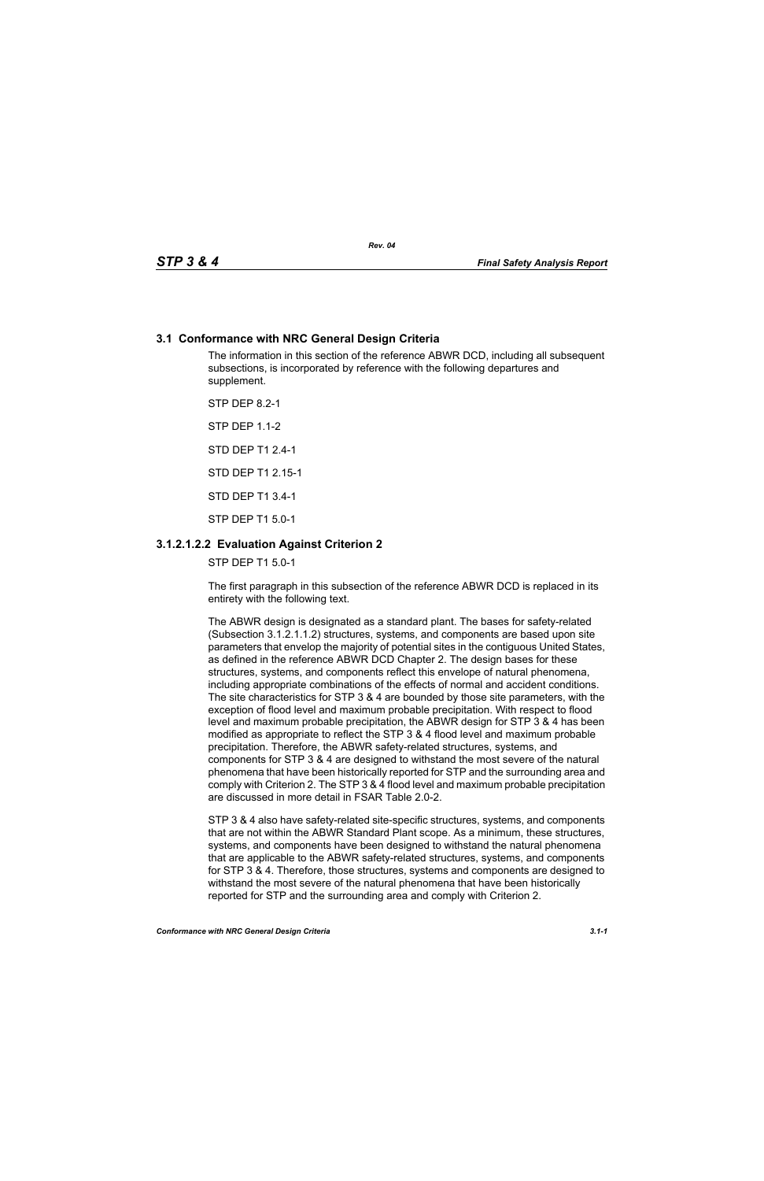## **3.1 Conformance with NRC General Design Criteria**

The information in this section of the reference ABWR DCD, including all subsequent subsections, is incorporated by reference with the following departures and supplement.

STP DEP 8.2-1

STP DEP 1.1-2

STD DEP T1 2.4-1

STD DEP T1 2.15-1

STD DEP T1 3.4-1

STP DEP T1 5.0-1

# **3.1.2.1.2.2 Evaluation Against Criterion 2**

STP DEP T1 5.0-1

The first paragraph in this subsection of the reference ABWR DCD is replaced in its entirety with the following text.

The ABWR design is designated as a standard plant. The bases for safety-related (Subsection 3.1.2.1.1.2) structures, systems, and components are based upon site parameters that envelop the majority of potential sites in the contiguous United States, as defined in the reference ABWR DCD Chapter 2. The design bases for these structures, systems, and components reflect this envelope of natural phenomena, including appropriate combinations of the effects of normal and accident conditions. The site characteristics for STP 3 & 4 are bounded by those site parameters, with the exception of flood level and maximum probable precipitation. With respect to flood level and maximum probable precipitation, the ABWR design for STP 3 & 4 has been modified as appropriate to reflect the STP 3 & 4 flood level and maximum probable precipitation. Therefore, the ABWR safety-related structures, systems, and components for STP 3 & 4 are designed to withstand the most severe of the natural phenomena that have been historically reported for STP and the surrounding area and comply with Criterion 2. The STP 3 & 4 flood level and maximum probable precipitation are discussed in more detail in FSAR Table 2.0-2.

STP 3 & 4 also have safety-related site-specific structures, systems, and components that are not within the ABWR Standard Plant scope. As a minimum, these structures, systems, and components have been designed to withstand the natural phenomena that are applicable to the ABWR safety-related structures, systems, and components for STP 3 & 4. Therefore, those structures, systems and components are designed to withstand the most severe of the natural phenomena that have been historically reported for STP and the surrounding area and comply with Criterion 2.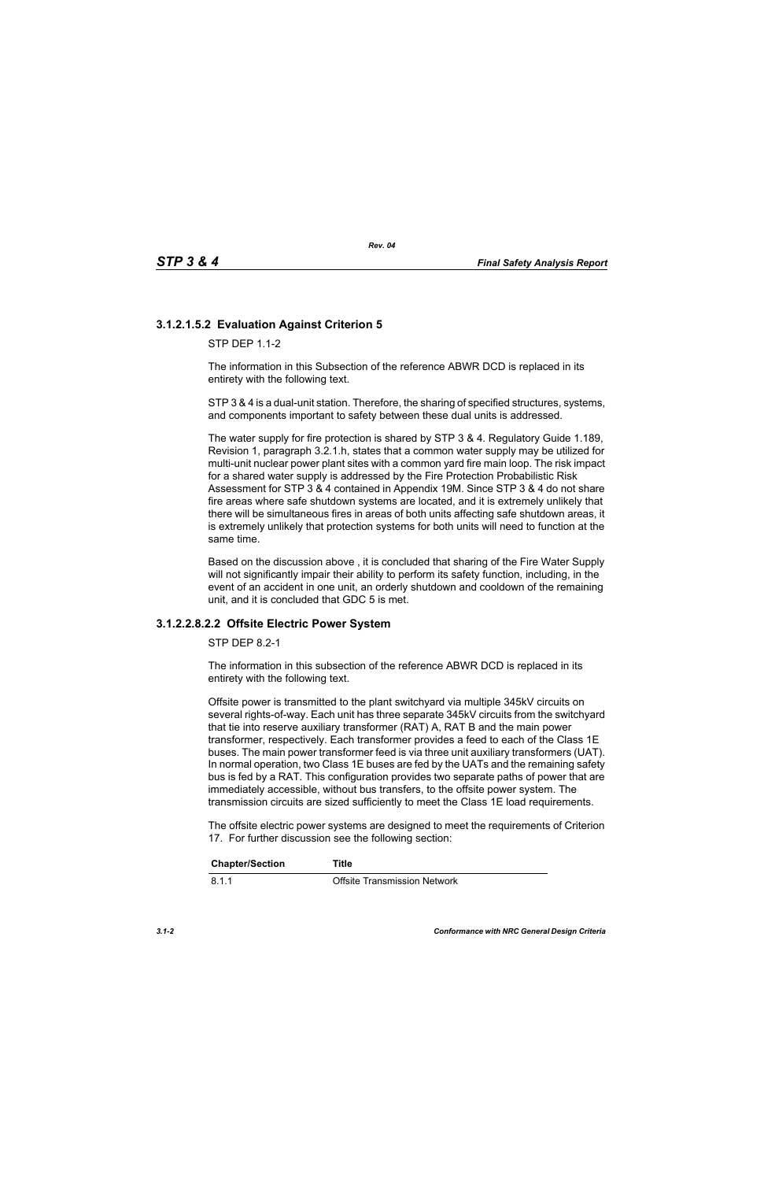# **3.1.2.1.5.2 Evaluation Against Criterion 5**

 $STP$  DFP 11-2

The information in this Subsection of the reference ABWR DCD is replaced in its entirety with the following text.

STP 3 & 4 is a dual-unit station. Therefore, the sharing of specified structures, systems, and components important to safety between these dual units is addressed.

The water supply for fire protection is shared by STP 3 & 4. Regulatory Guide 1.189, Revision 1, paragraph 3.2.1.h, states that a common water supply may be utilized for multi-unit nuclear power plant sites with a common yard fire main loop. The risk impact for a shared water supply is addressed by the Fire Protection Probabilistic Risk Assessment for STP 3 & 4 contained in Appendix 19M. Since STP 3 & 4 do not share fire areas where safe shutdown systems are located, and it is extremely unlikely that there will be simultaneous fires in areas of both units affecting safe shutdown areas, it is extremely unlikely that protection systems for both units will need to function at the same time.

Based on the discussion above , it is concluded that sharing of the Fire Water Supply will not significantly impair their ability to perform its safety function, including, in the event of an accident in one unit, an orderly shutdown and cooldown of the remaining unit, and it is concluded that GDC 5 is met.

### **3.1.2.2.8.2.2 Offsite Electric Power System**

STP DEP 8.2-1

The information in this subsection of the reference ABWR DCD is replaced in its entirety with the following text.

Offsite power is transmitted to the plant switchyard via multiple 345kV circuits on several rights-of-way. Each unit has three separate 345kV circuits from the switchyard that tie into reserve auxiliary transformer (RAT) A, RAT B and the main power transformer, respectively. Each transformer provides a feed to each of the Class 1E buses. The main power transformer feed is via three unit auxiliary transformers (UAT). In normal operation, two Class 1E buses are fed by the UATs and the remaining safety bus is fed by a RAT. This configuration provides two separate paths of power that are immediately accessible, without bus transfers, to the offsite power system. The transmission circuits are sized sufficiently to meet the Class 1E load requirements.

The offsite electric power systems are designed to meet the requirements of Criterion 17. For further discussion see the following section:

| <b>Chapter/Section</b> | Title                               |
|------------------------|-------------------------------------|
| 8.1.1                  | <b>Offsite Transmission Network</b> |